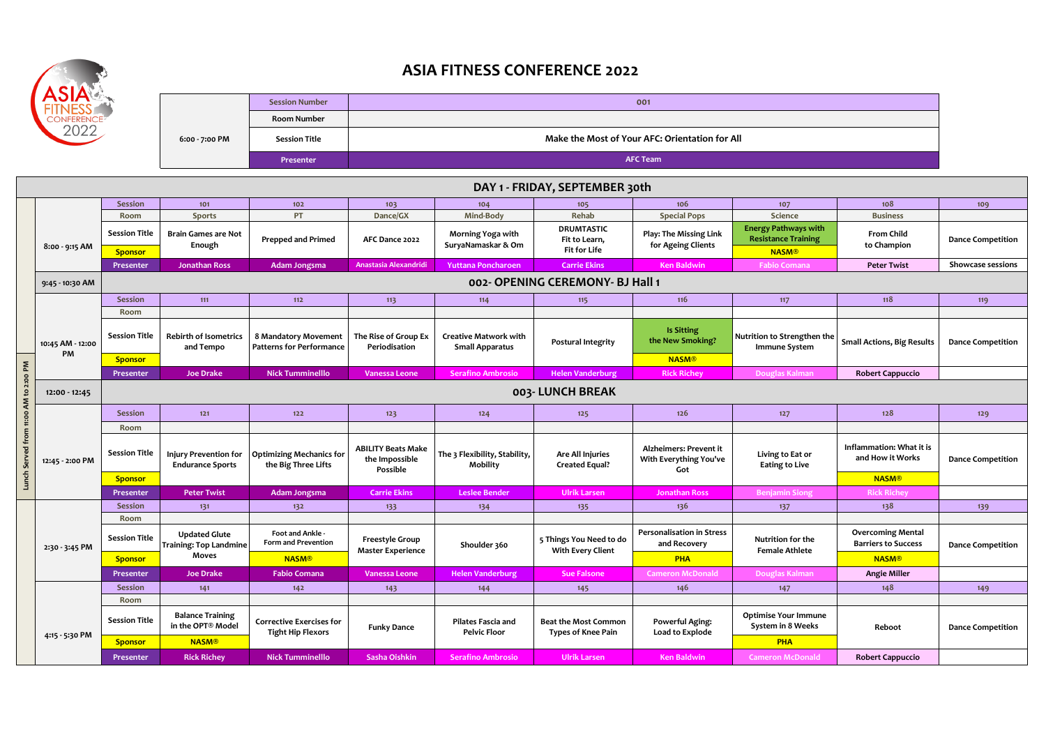|                | <b>Session Number</b> | 001                                            |
|----------------|-----------------------|------------------------------------------------|
| 6:00 - 7:00 PM | <b>Room Number</b>    |                                                |
|                | <b>Session Title</b>  | Make the Most of Your AFC: Orientation for All |
|                | Presenter             | <b>AFC Team</b>                                |

 **DAY 1 - FRIDAY, SEPTEMBER 30th Session 101 102 103 104 105 106 107 108 109 Room Sports PT Dance/GX Mind-Body Rehab Special Pops Science Business DRUMTASTIC Session Title Energy Pathways with Brain Games are Not Prepped and Primed AFC Dance 2022 Morning Yoga with Play: The Missing Link AFC Dance 2022 Fit to Learn, Resistance Enough SuryaNamaskar & Om for Ageing Clients 8:00 - 9:15 AM Fit for Life Sponsor NASM® Presenter Jonathan Ross Adam Jongsma Anastasia Alexandridi Yuttana Poncharoen Carrie Ekins Ken Baldwin Fabio Comana Peter Twist Showcase sessions 002- OPENING CEREMONY- BJ Hall 1 9:45 - 10:30 AM Session 111 112 113 114 115 116 117 118 119 Room Session Title Is Sitting Rebirth of Isometrics 8 Mandatory Movement The Rise of Group Ex Creative Matwork with Nutrition to Str the New Smoking? Postural Integrity 10:45 AM - 12:00 and Tempo Patterns for Performance Periodisation Small Apparatus Immune** 9 **PM Sponsor NASM®**  Lunch Served from 11:00 AM to 2:00 PM **Lunch Served from 11:00 AM to 2:00 PM Presenter Joe Drake Nick Tumminelllo Vanessa Leone Serafino Ambrosio Helen Vanderburg Rick Richey Douglas Kalman Robert Cappuccio 003- LUNCH BREAK 12:00 - 12:45 Session 121 122 123 124 125 126 127 128 129 Room** Session Title **influme to the limit of the set of the state** of a the state of the state of the state of the state of the state of the state of the state of the state of the state of the state of the state of the state of **ABILITY Beats Make Alzheimers: Prevent it Optimizing Mechanics for The 3 Flexibility, Stability, Are All Injuries Injury Prevention for**  Living to **the Impossible With Everything You've 12:45 - 2:00 PM Endurance Sportsthe Big Three Lifts Mobility Created Equal? Eating to Possible Got Sponsor NASM® Presenter Peter Twist Adam Jongsma Carrie Ekins Leslee Bender Ulrik Larsen Jonathan Ross Benjamin Siong Rick Richey Session 131 132 133 134 135 136 137 138 139 Room Personalisation in Stress Session Title Foot and Ankle - Foot and Ankle - Foot and Ankle - Foot and Ankle -5 Things You Need to do Freestyle Group Nutrition Form and Prevention and Recovery Training: Top Landmine Shoulder 360 2:30 - 3:45 PM Female At Master Experience With Every Client Moves Sponsor NASM® PHA NASM® Presenter Joe Drake Fabio Comana Vanessa Leone Helen Vanderburg Sue Falsone Cameron McDonald Douglas Kalman Angie Miller Session 141 142 143 144 145 146 147 148 149 Room Optimise You Session Title Balance Training Corrective Exercises for Pilates Fascia and Beat the Most Common Powerful Aging: in the OPT® Model Funky Dance System in 8 Tight Hip Flexors Pelvic Floor Types of Knee Pain Load to Explode 4:15 - 5:30 PM Sponsor NASM® PHA**

| the control of the control of the control of |  |  |
|----------------------------------------------|--|--|
|                                              |  |  |
|                                              |  |  |
|                                              |  |  |



## **ASIA FITNESS CONFERENCE 2022**

| <b>Session</b>   | 121                                              | $122$                                                       | 123                                                     | $124$                                            | $125$                                                    | 126                                                     | 127                                              | 128                                                    | 129                      |  |
|------------------|--------------------------------------------------|-------------------------------------------------------------|---------------------------------------------------------|--------------------------------------------------|----------------------------------------------------------|---------------------------------------------------------|--------------------------------------------------|--------------------------------------------------------|--------------------------|--|
| <b>Room</b>      |                                                  |                                                             |                                                         |                                                  |                                                          |                                                         |                                                  |                                                        |                          |  |
| ession Title     | Injury Prevention for<br><b>Endurance Sports</b> | <b>Optimizing Mechanics for</b><br>the Big Three Lifts      | <b>ABILITY Beats Make</b><br>the Impossible<br>Possible | The 3 Flexibility, Stability,<br><b>Mobility</b> | Are All Injuries<br><b>Created Equal?</b>                | Alzheimers: Prevent it<br>With Everything You've<br>Got | Living to Eat or<br><b>Eating to Live</b>        | Inflammation: What it is<br>and How it Works           | <b>Dance Competition</b> |  |
| <b>Sponsor</b>   |                                                  |                                                             |                                                         |                                                  |                                                          |                                                         |                                                  | <b>NASM®</b>                                           |                          |  |
| <b>Presenter</b> | Peter Twist                                      | Adam Jongsma                                                | <b>Carrie Ekins</b>                                     | Leslee Bender                                    | <b>Ulrik Larsen</b>                                      | <b>Jonathan Ross</b>                                    | <b>Benjamin Siong</b>                            | <b>Rick Richey</b>                                     |                          |  |
| <b>Session</b>   | 131                                              | 132                                                         | 133                                                     | 134                                              | 135                                                      | 136                                                     | 137                                              | 138                                                    | 139                      |  |
| <b>Room</b>      |                                                  |                                                             |                                                         |                                                  |                                                          |                                                         |                                                  |                                                        |                          |  |
| ession Title     | <b>Updated Glute</b><br>Training: Top Landmine   | Foot and Ankle -<br><b>Form and Prevention</b>              | <b>Freestyle Group</b><br><b>Master Experience</b>      | Shoulder 360                                     | 5 Things You Need to do<br><b>With Every Client</b>      | <b>Personalisation in Stress</b><br>and Recovery        | Nutrition for the<br><b>Female Athlete</b>       | <b>Overcoming Mental</b><br><b>Barriers to Success</b> | <b>Dance Competition</b> |  |
| <b>Sponsor</b>   | <b>Moves</b>                                     | <b>NASM®</b>                                                |                                                         |                                                  |                                                          | <b>PHA</b>                                              |                                                  | <b>NASM®</b>                                           |                          |  |
| <b>Presenter</b> | <b>Joe Drake</b>                                 | <b>Fabio Comana</b>                                         | Vanessa Leone                                           | <b>Helen Vanderburg</b>                          | <b>Sue Falsone</b>                                       | <b>Cameron McDonald</b>                                 | Douglas Kalman                                   | <b>Angie Miller</b>                                    |                          |  |
| <b>Session</b>   | 141                                              | 142                                                         | 143                                                     | 144                                              | 145                                                      | 146                                                     | 147                                              | 148                                                    | 149                      |  |
| Room             |                                                  |                                                             |                                                         |                                                  |                                                          |                                                         |                                                  |                                                        |                          |  |
| ession Title     | <b>Balance Training</b><br>in the OPT® Model     | <b>Corrective Exercises for</b><br><b>Tight Hip Flexors</b> |                                                         | <b>Pilates Fascia and</b><br><b>Pelvic Floor</b> | <b>Beat the Most Common</b><br><b>Types of Knee Pain</b> | <b>Powerful Aging:</b><br>Load to Explode               | <b>Optimise Your Immune</b><br>System in 8 Weeks | Reboot                                                 | <b>Dance Competition</b> |  |
| <b>Sponsor</b>   | <b>NASM®</b>                                     |                                                             |                                                         |                                                  |                                                          |                                                         | <b>PHA</b>                                       |                                                        |                          |  |
| <b>Presenter</b> | <b>Rick Richey</b>                               | <b>Nick Tumminelllo</b>                                     | Sasha Oishkin                                           | <b>Serafino Ambrosio</b>                         | <b>Ulrik Larsen</b>                                      | <b>Ken Baldwin</b>                                      | <b>Cameron McDonald</b>                          | <b>Robert Cappuccio</b>                                |                          |  |

|                                    | 108                              | 109                      |
|------------------------------------|----------------------------------|--------------------------|
| ce                                 | <b>Business</b>                  |                          |
| vays with<br><b>Training</b><br>1® | <b>From Child</b><br>to Champion | <b>Dance Competition</b> |
| mana                               | <b>Peter Twist</b>               | <b>Showcase sessions</b> |
|                                    |                                  |                          |
|                                    | 118                              | 119                      |
|                                    |                                  |                          |
|                                    |                                  |                          |

| engthen the <b>s</b><br>System | <b>Small Actions, Big Results</b> | <b>Dance Competition</b> |
|--------------------------------|-----------------------------------|--------------------------|
| <b>Kalman</b>                  | <b>Robert Cappuccio</b>           |                          |
|                                |                                   |                          |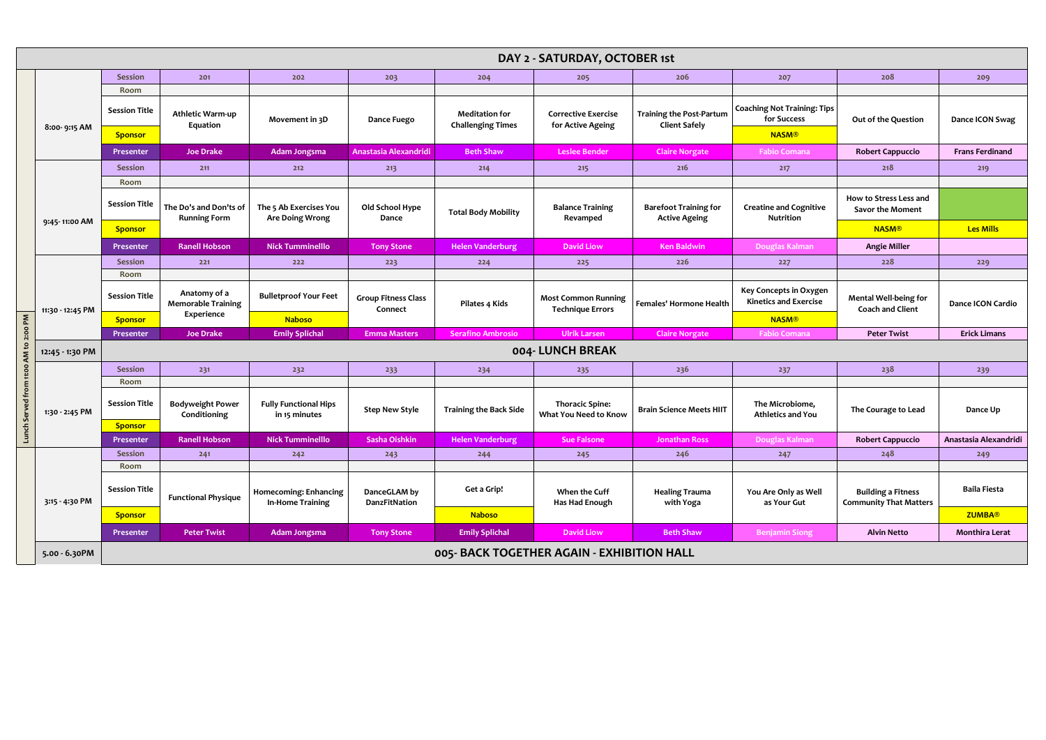|                                       | DAY 2 - SATURDAY, OCTOBER 1st |                                                    |                                                  |                                                  |                                       |                                                   |                                                       |                                                         |                                                            |                                                         |                        |
|---------------------------------------|-------------------------------|----------------------------------------------------|--------------------------------------------------|--------------------------------------------------|---------------------------------------|---------------------------------------------------|-------------------------------------------------------|---------------------------------------------------------|------------------------------------------------------------|---------------------------------------------------------|------------------------|
|                                       |                               | <b>Session</b>                                     | 201                                              | 202                                              | 203                                   | 204                                               | 205                                                   | 206                                                     | 207                                                        | 208                                                     | 209                    |
|                                       |                               | Room                                               |                                                  |                                                  |                                       |                                                   |                                                       |                                                         |                                                            |                                                         |                        |
|                                       |                               | <b>Session Title</b>                               | Athletic Warm-up<br>Equation                     | Movement in 3D                                   | <b>Dance Fuego</b>                    | <b>Meditation for</b><br><b>Challenging Times</b> | <b>Corrective Exercise</b><br>for Active Ageing       | <b>Training the Post-Partum</b><br><b>Client Safely</b> | <b>Coaching Not Training: Tips</b><br>for Success          | Out of the Question                                     | Dance ICON Swag        |
|                                       | 8:00-9:15 AM                  | <b>Sponsor</b>                                     |                                                  |                                                  |                                       |                                                   |                                                       |                                                         | <b>NASM®</b>                                               |                                                         |                        |
|                                       |                               | Presenter                                          | <b>Joe Drake</b>                                 | Adam Jongsma                                     | Anastasia Alexandridi                 | <b>Beth Shaw</b>                                  | <b>Leslee Bender</b>                                  | <b>Claire Norgate</b>                                   | <b>Fabio Comana</b>                                        | <b>Robert Cappuccio</b>                                 | <b>Frans Ferdinand</b> |
|                                       |                               | <b>Session</b>                                     | 211                                              | 212                                              | 213                                   | 214                                               | 215                                                   | 216                                                     | 217                                                        | 218                                                     | 219                    |
|                                       |                               | Room                                               |                                                  |                                                  |                                       |                                                   |                                                       |                                                         |                                                            |                                                         |                        |
|                                       |                               | <b>Session Title</b>                               | The Do's and Don'ts of<br><b>Running Form</b>    | The 5 Ab Exercises You<br><b>Are Doing Wrong</b> | Old School Hype<br>Dance              | <b>Total Body Mobility</b>                        | <b>Balance Training</b><br>Revamped                   | <b>Barefoot Training for</b><br><b>Active Ageing</b>    | <b>Creatine and Cognitive</b><br><b>Nutrition</b>          | How to Stress Less and<br>Savor the Moment              |                        |
|                                       | 9:45-11:00 AM                 | <b>Sponsor</b>                                     |                                                  |                                                  |                                       |                                                   |                                                       |                                                         |                                                            | <b>NASM®</b>                                            | <b>Les Mills</b>       |
|                                       |                               | Presenter                                          | <b>Ranell Hobson</b>                             | <b>Nick Tumminelllo</b>                          | <b>Tony Stone</b>                     | <b>Helen Vanderburg</b>                           | <b>David Liow</b>                                     | <b>Ken Baldwin</b>                                      | Douglas Kalman                                             | <b>Angie Miller</b>                                     |                        |
|                                       |                               | <b>Session</b>                                     | 221                                              | 222                                              | 223                                   | 224                                               | 225                                                   | 226                                                     | 227                                                        | 228                                                     | 229                    |
|                                       | 11:30 - 12:45 PM              | Room                                               |                                                  |                                                  |                                       |                                                   |                                                       |                                                         |                                                            |                                                         |                        |
|                                       |                               | <b>Session Title</b>                               | Anatomy of a<br><b>Memorable Training</b>        | <b>Bulletproof Your Feet</b>                     | <b>Group Fitness Class</b><br>Connect | Pilates 4 Kids                                    | <b>Most Common Running</b><br><b>Technique Errors</b> | <b>Females' Hormone Health</b>                          | Key Concepts in Oxygen<br><b>Kinetics and Exercise</b>     | <b>Mental Well-being for</b><br><b>Coach and Client</b> | Dance ICON Cardio      |
|                                       |                               | <b>Sponsor</b>                                     | Experience                                       | <b>Naboso</b>                                    |                                       |                                                   |                                                       |                                                         | <b>NASM®</b>                                               |                                                         |                        |
|                                       |                               | Presenter                                          | <b>Joe Drake</b>                                 | <b>Emily Splichal</b>                            | <b>Emma Masters</b>                   | <b>Serafino Ambrosio</b>                          | <b>Ulrik Larsen</b>                                   | <b>Claire Norgate</b>                                   | <b>Fabio Comana</b>                                        | <b>Peter Twist</b>                                      | <b>Erick Limans</b>    |
|                                       | 12:45 - 1:30 PM               | 004- LUNCH BREAK                                   |                                                  |                                                  |                                       |                                                   |                                                       |                                                         |                                                            |                                                         |                        |
|                                       |                               | <b>Session</b>                                     | 231                                              | 232                                              | 233                                   | 234                                               | 235                                                   | 236                                                     | 237                                                        | 238                                                     | 239                    |
|                                       |                               | Room                                               |                                                  |                                                  |                                       |                                                   |                                                       |                                                         |                                                            |                                                         |                        |
| Lunch Served from 11:00 AM to 2:00 PM | 1:30 - 2:45 PM                | <b>Session Title</b>                               | <b>Bodyweight Power</b><br>Conditioning          | <b>Fully Functional Hips</b><br>in 15 minutes    | <b>Step New Style</b>                 | <b>Training the Back Side</b>                     | <b>Thoracic Spine:</b><br>What You Need to Know       | <b>Brain Science Meets HIIT</b>                         | The Microbiome,<br><b>Athletics and You</b>                | The Courage to Lead                                     | Dance Up               |
|                                       |                               | <b>Sponsor</b>                                     |                                                  |                                                  |                                       |                                                   |                                                       |                                                         |                                                            |                                                         |                        |
|                                       |                               | Presenter                                          | <b>Ranell Hobson</b>                             | <b>Nick Tumminelllo</b>                          | Sasha Oishkin                         | <b>Helen Vanderburg</b>                           | <b>Sue Falsone</b>                                    | <b>Jonathan Ross</b>                                    | Douglas Kalman                                             | <b>Robert Cappuccio</b>                                 | Anastasia Alexandridi  |
|                                       |                               | <b>Session</b>                                     | 241                                              | 242                                              | 243                                   | 244                                               | 245                                                   | 246                                                     | 247                                                        | 248                                                     | 249                    |
|                                       |                               | Room                                               |                                                  |                                                  |                                       |                                                   |                                                       |                                                         |                                                            |                                                         |                        |
|                                       | 3:15 - 4:30 PM                | <b>Session Title</b><br><b>Functional Physique</b> | <b>Homecoming: Enhancing</b><br>In-Home Training | DanceGLAM by<br>DanzFitNation                    | Get a Grip!                           | When the Cuff<br>Has Had Enough                   | <b>Healing Trauma</b><br>with Yoga                    | You Are Only as Well<br>as Your Gut                     | <b>Building a Fitness</b><br><b>Community That Matters</b> | <b>Baila Fiesta</b>                                     |                        |
|                                       |                               | <b>Sponsor</b>                                     |                                                  |                                                  |                                       | <b>Naboso</b>                                     |                                                       |                                                         |                                                            |                                                         | <b>ZUMBA®</b>          |
|                                       |                               | Presenter                                          | <b>Peter Twist</b>                               | Adam Jongsma                                     | <b>Tony Stone</b>                     | <b>Emily Splichal</b>                             | <b>David Liow</b>                                     | <b>Beth Shaw</b>                                        | <b>Benjamin Siong</b>                                      | <b>Alvin Netto</b>                                      | <b>Monthira Lerat</b>  |
|                                       | 5.00 - 6.30PM                 | 005- BACK TOGETHER AGAIN - EXHIBITION HALL         |                                                  |                                                  |                                       |                                                   |                                                       |                                                         |                                                            |                                                         |                        |